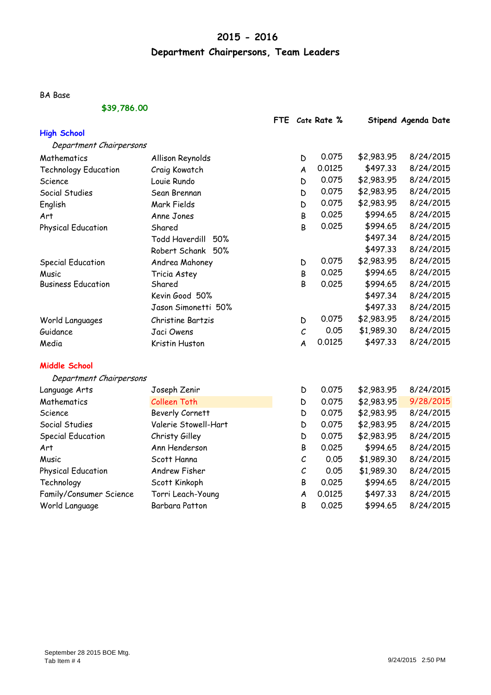# **2015 - 2016**

# **Department Chairpersons, Team Leaders**

BA Base

### **\$39,786.00**

|                             |                              | <b>FTE</b> |                  | Cate Rate % |            | Stipend Agenda Date |
|-----------------------------|------------------------------|------------|------------------|-------------|------------|---------------------|
| <b>High School</b>          |                              |            |                  |             |            |                     |
| Department Chairpersons     |                              |            |                  |             |            |                     |
| Mathematics                 | Allison Reynolds             |            | D                | 0.075       | \$2,983.95 | 8/24/2015           |
| <b>Technology Education</b> | Craig Kowatch                |            | $\boldsymbol{A}$ | 0.0125      | \$497.33   | 8/24/2015           |
| Science                     | Louie Rundo                  |            | D                | 0.075       | \$2,983.95 | 8/24/2015           |
| Social Studies              | Sean Brennan                 |            | D                | 0.075       | \$2,983.95 | 8/24/2015           |
| English                     | Mark Fields                  |            | D                | 0.075       | \$2,983.95 | 8/24/2015           |
| Art                         | Anne Jones                   |            | B                | 0.025       | \$994.65   | 8/24/2015           |
| <b>Physical Education</b>   | Shared                       |            | B                | 0.025       | \$994.65   | 8/24/2015           |
|                             | <b>Todd Haverdill</b><br>50% |            |                  |             | \$497.34   | 8/24/2015           |
|                             | Robert Schank<br>50%         |            |                  |             | \$497.33   | 8/24/2015           |
| <b>Special Education</b>    | Andrea Mahoney               |            | D                | 0.075       | \$2,983.95 | 8/24/2015           |
| Music                       | Tricia Astey                 |            | В                | 0.025       | \$994.65   | 8/24/2015           |
| <b>Business Education</b>   | Shared                       |            | B                | 0.025       | \$994.65   | 8/24/2015           |
|                             | Kevin Good 50%               |            |                  |             | \$497.34   | 8/24/2015           |
|                             | Jason Simonetti 50%          |            |                  |             | \$497.33   | 8/24/2015           |
| World Languages             | Christine Bartzis            |            | D                | 0.075       | \$2,983.95 | 8/24/2015           |
| Guidance                    | Jaci Owens                   |            | $\mathcal C$     | 0.05        | \$1,989.30 | 8/24/2015           |
| Media                       | Kristin Huston               |            | $\overline{A}$   | 0.0125      | \$497.33   | 8/24/2015           |
| <b>Middle School</b>        |                              |            |                  |             |            |                     |
| Department Chairpersons     |                              |            |                  |             |            |                     |
| Language Arts               | Joseph Zenir                 |            | D                | 0.075       | \$2,983.95 | 8/24/2015           |
| Mathematics                 | <b>Colleen Toth</b>          |            | D                | 0.075       | \$2,983.95 | 9/28/2015           |
| Science                     | <b>Beverly Cornett</b>       |            | D                | 0.075       | \$2,983.95 | 8/24/2015           |
| Social Studies              | Valerie Stowell-Hart         |            | D                | 0.075       | \$2,983.95 | 8/24/2015           |
| <b>Special Education</b>    | Christy Gilley               |            | D                | 0.075       | \$2,983.95 | 8/24/2015           |
| Art                         | Ann Henderson                |            | В                | 0.025       | \$994.65   | 8/24/2015           |
| Music                       | Scott Hanna                  |            | $\cal C$         | 0.05        | \$1,989.30 | 8/24/2015           |
| <b>Physical Education</b>   | <b>Andrew Fisher</b>         |            | $\cal C$         | 0.05        | \$1,989.30 | 8/24/2015           |
| Technology                  | Scott Kinkoph                |            | В                | 0.025       | \$994.65   | 8/24/2015           |
| Family/Consumer Science     | Torri Leach-Young            |            | A                | 0.0125      | \$497.33   | 8/24/2015           |
| World Language              | Barbara Patton               |            | B                | 0.025       | \$994.65   | 8/24/2015           |